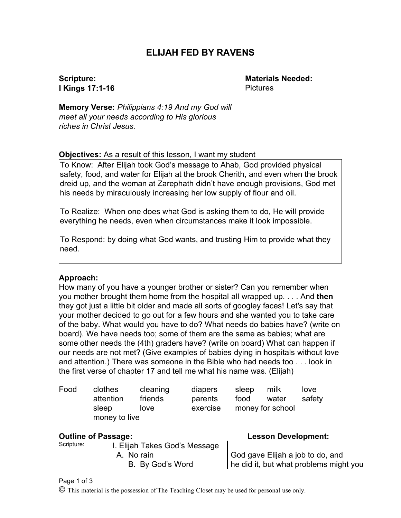# **ELIJAH FED BY RAVENS**

# **Scripture: I Kings 17:1-16**

**Materials Needed:** Pictures

**Memory Verse:** *Philippians 4:19 And my God will meet all your needs according to His glorious riches in Christ Jesus.*

#### **Objectives:** As a result of this lesson, I want my student

To Know: After Elijah took God's message to Ahab, God provided physical safety, food, and water for Elijah at the brook Cherith, and even when the brook dreid up, and the woman at Zarephath didn't have enough provisions, God met his needs by miraculously increasing her low supply of flour and oil.

To Realize: When one does what God is asking them to do, He will provide everything he needs, even when circumstances make it look impossible.

To Respond: by doing what God wants, and trusting Him to provide what they need.

#### **Approach:**

How many of you have a younger brother or sister? Can you remember when you mother brought them home from the hospital all wrapped up. . . . And **then** they got just a little bit older and made all sorts of googley faces! Let's say that your mother decided to go out for a few hours and she wanted you to take care of the baby. What would you have to do? What needs do babies have? (write on board). We have needs too; some of them are the same as babies; what are some other needs the (4th) graders have? (write on board) What can happen if our needs are not met? (Give examples of babies dying in hospitals without love and attention.) There was someone in the Bible who had needs too . . . look in the first verse of chapter 17 and tell me what his name was. (Elijah)

| Food | clothes       | cleaning | diapers  | sleep | milk             | love   |
|------|---------------|----------|----------|-------|------------------|--------|
|      | attention     | friends  | parents  | food  | water            | safety |
|      | sleep         | love     | exercise |       | money for school |        |
|      | money to live |          |          |       |                  |        |

#### **Outline of Passage: Lesson Development:**

Scripture:

I. Elijah Takes God's Message A. No rain B. By God's Word

God gave Elijah a job to do, and he did it, but what problems might you

Page 1 of 3

© This material is the possession of The Teaching Closet may be used for personal use only.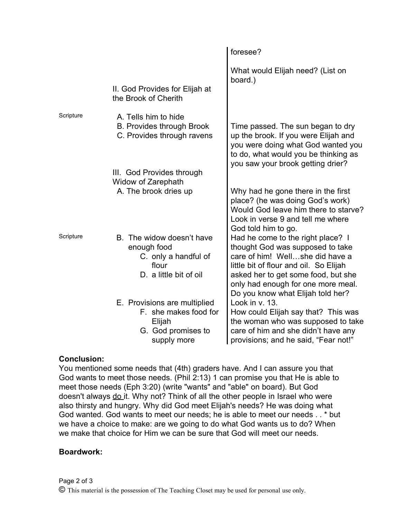|           |                                                                                                      | foresee?                                                                                                                                                                                                                                                             |  |  |
|-----------|------------------------------------------------------------------------------------------------------|----------------------------------------------------------------------------------------------------------------------------------------------------------------------------------------------------------------------------------------------------------------------|--|--|
|           | II. God Provides for Elijah at<br>the Brook of Cherith                                               | What would Elijah need? (List on<br>board.)                                                                                                                                                                                                                          |  |  |
| Scripture | A. Tells him to hide<br><b>B. Provides through Brook</b><br>C. Provides through ravens               | Time passed. The sun began to dry<br>up the brook. If you were Elijah and<br>you were doing what God wanted you<br>to do, what would you be thinking as<br>you saw your brook getting drier?                                                                         |  |  |
|           | III. God Provides through<br>Widow of Zarephath                                                      |                                                                                                                                                                                                                                                                      |  |  |
|           | A. The brook dries up                                                                                | Why had he gone there in the first<br>place? (he was doing God's work)<br>Would God leave him there to starve?<br>Look in verse 9 and tell me where<br>God told him to go.                                                                                           |  |  |
| Scripture | B. The widow doesn't have<br>enough food<br>C. only a handful of<br>flour<br>D. a little bit of oil  | Had he come to the right place? I<br>thought God was supposed to take<br>care of him! Wellshe did have a<br>little bit of flour and oil. So Elijah<br>asked her to get some food, but she<br>only had enough for one more meal.<br>Do you know what Elijah told her? |  |  |
|           | E. Provisions are multiplied<br>F. she makes food for<br>Elijah<br>G. God promises to<br>supply more | Look in v. 13.<br>How could Elijah say that? This was<br>the woman who was supposed to take<br>care of him and she didn't have any<br>provisions; and he said, "Fear not!"                                                                                           |  |  |

### **Conclusion:**

You mentioned some needs that (4th) graders have. And I can assure you that God wants to meet those needs. (Phil 2:13) 1 can promise you that He is able to meet those needs (Eph 3:20) (write "wants" and "able" on board). But God doesn't always do it. Why not? Think of all the other people in Israel who were also thirsty and hungry. Why did God meet Elijah's needs? He was doing what God wanted. God wants to meet our needs; he is able to meet our needs . . \* but we have a choice to make: are we going to do what God wants us to do? When we make that choice for Him we can be sure that God will meet our needs.

### **Boardwork:**